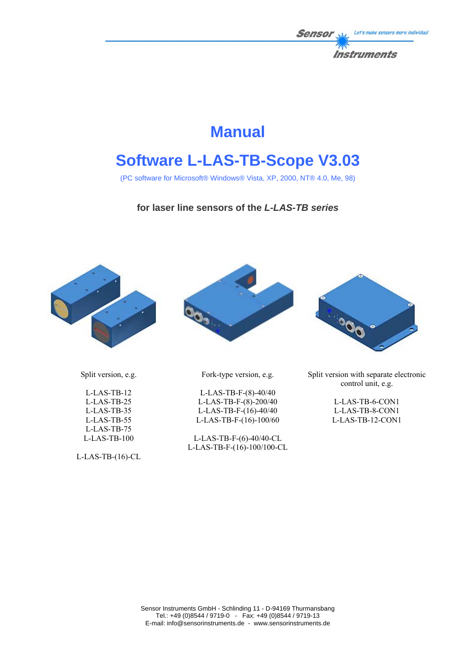

## **Manual**

# **Software L-LAS-TB-Scope V3.03**

(PC software for Microsoft® Windows® Vista, XP, 2000, NT® 4.0, Me, 98)

### **for laser line sensors of the** *L-LAS-TB series*





Fork-type version, e.g.

L-LAS-TB-F-(8)-40/40 L-LAS-TB-F-(8)-200/40 L-LAS-TB-F-(16)-40/40 L-LAS-TB-F-(16)-100/60

L-LAS-TB-F-(6)-40/40-CL L-LAS-TB-F-(16)-100/100-CL



Split version with separate electronic control unit, e.g.

> L-LAS-TB-6-CON1 L-LAS-TB-8-CON1 L-LAS-TB-12-CON1

Split version, e.g.

L-LAS-TB-12 L-LAS-TB-25 L-LAS-TB-35 L-LAS-TB-55 L-LAS-TB-75 L-LAS-TB-100

L-LAS-TB-(16)-CL

Sensor Instruments GmbH - Schlinding 11 - D-94169 Thurmansbang Tel.: +49 (0)8544 / 9719-0 - Fax: +49 (0)8544 / 9719-13 E-mail: info@sensorinstruments.de - www.sensorinstruments.de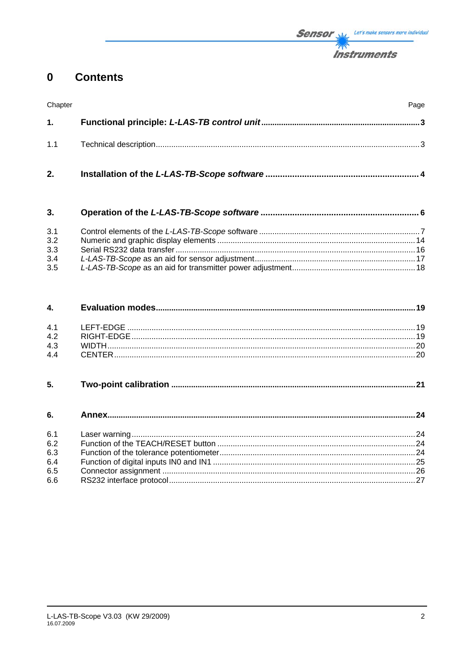#### **Contents**  $\mathbf 0$

| 2.      |      |
|---------|------|
|         |      |
| 1.      |      |
| Chapter | Page |

| 3.  |  |
|-----|--|
| 3.1 |  |
| 3.2 |  |
| 3.3 |  |
| 3.4 |  |
| 3.5 |  |

| 5.  |  |
|-----|--|
| 6.  |  |
| 6.1 |  |
| 6.2 |  |
| 6.3 |  |
| 6.4 |  |
| 6.5 |  |

6.6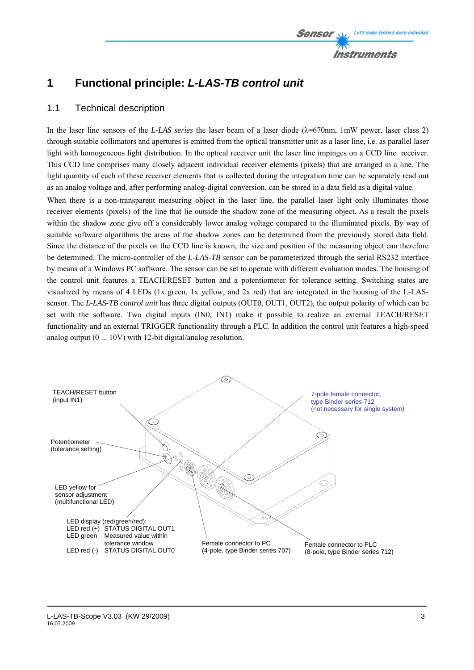

### **1 Functional principle:** *L-LAS-TB control unit*

### 1.1 Technical description

In the laser line sensors of the *L-LAS series* the laser beam of a laser diode (λ=670nm, 1mW power, laser class 2) through suitable collimators and apertures is emitted from the optical transmitter unit as a laser line, i.e. as parallel laser light with homogeneous light distribution. In the optical receiver unit the laser line impinges on a CCD line receiver. This CCD line comprises many closely adjacent individual receiver elements (pixels) that are arranged in a line. The light quantity of each of these receiver elements that is collected during the integration time can be separately read out as an analog voltage and, after performing analog-digital conversion, can be stored in a data field as a digital value.

When there is a non-transparent measuring object in the laser line, the parallel laser light only illuminates those receiver elements (pixels) of the line that lie outside the shadow zone of the measuring object. As a result the pixels within the shadow zone give off a considerably lower analog voltage compared to the illuminated pixels. By way of suitable software algorithms the areas of the shadow zones can be determined from the previously stored data field. Since the distance of the pixels on the CCD line is known, the size and position of the measuring object can therefore be determined. The micro-controller of the *L-LAS-TB sensor* can be parameterized through the serial RS232 interface by means of a Windows PC software. The sensor can be set to operate with different evaluation modes. The housing of the control unit features a TEACH/RESET button and a potentiometer for tolerance setting. Switching states are visualized by means of 4 LEDs (1x green, 1x yellow, and 2x red) that are integrated in the housing of the L-LASsensor. The *L-LAS-TB control unit* has three digital outputs (OUT0, OUT1, OUT2), the output polarity of which can be set with the software. Two digital inputs (IN0, IN1) make it possible to realize an external TEACH/RESET functionality and an external TRIGGER functionality through a PLC. In addition the control unit features a high-speed analog output (0 ... 10V) with 12-bit digital/analog resolution.

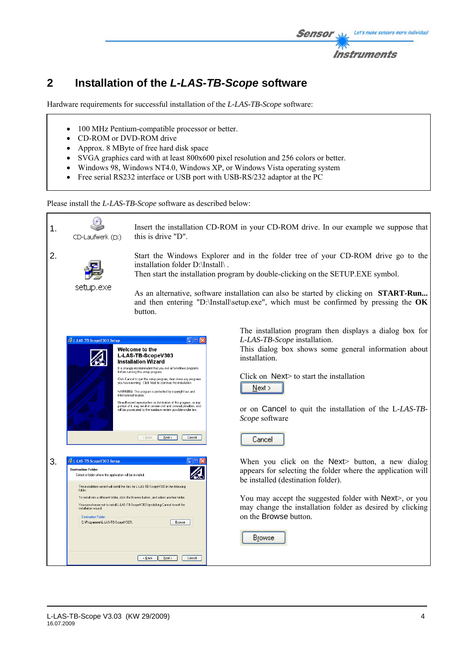

### **2 Installation of the** *L-LAS-TB-Scope* **software**

Hardware requirements for successful installation of the *L-LAS-TB-Scope* software:

- 100 MHz Pentium-compatible processor or better.
- CD-ROM or DVD-ROM drive
- Approx. 8 MByte of free hard disk space
- SVGA graphics card with at least 800x600 pixel resolution and 256 colors or better.
- Windows 98, Windows NT4.0, Windows XP, or Windows Vista operating system
- Free serial RS232 interface or USB port with USB-RS/232 adaptor at the PC

Please install the *L-LAS-TB-Scope* software as described below:

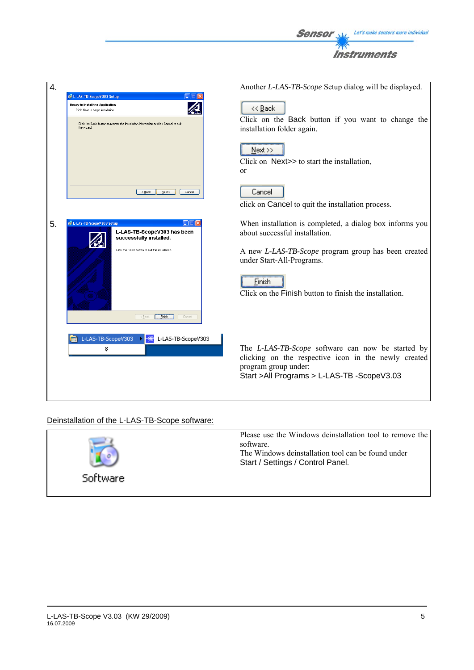



### Deinstallation of the L-LAS-TB-Scope software:

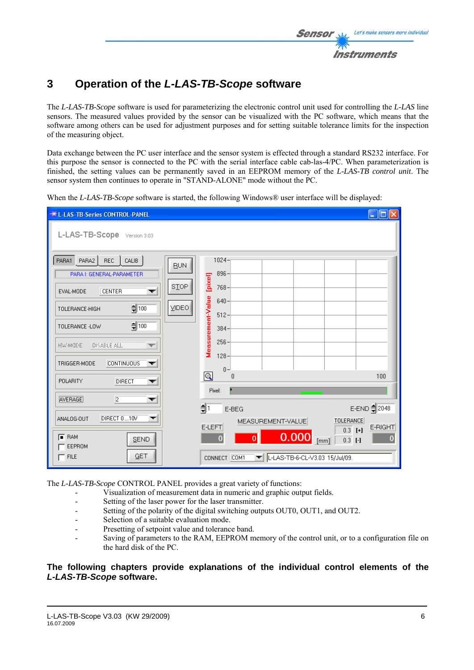## **3 Operation of the** *L-LAS-TB-Scope* **software**

The *L-LAS-TB-Scope* software is used for parameterizing the electronic control unit used for controlling the *L-LAS* line sensors. The measured values provided by the sensor can be visualized with the PC software, which means that the software among others can be used for adjustment purposes and for setting suitable tolerance limits for the inspection of the measuring object.

Data exchange between the PC user interface and the sensor system is effected through a standard RS232 interface. For this purpose the sensor is connected to the PC with the serial interface cable cab-las-4/PC. When parameterization is finished, the setting values can be permanently saved in an EEPROM memory of the *L-LAS-TB control unit*. The sensor system then continues to operate in "STAND-ALONE" mode without the PC.

When the *L-LAS-TB-Scope* software is started, the following Windows® user interface will be displayed:

| <b>KL-LAS-TB-Series CONTROL-PANEL</b>                                                                                                                                                                    |                                                                                                                                                | $\Box$ o $\times$                                                  |
|----------------------------------------------------------------------------------------------------------------------------------------------------------------------------------------------------------|------------------------------------------------------------------------------------------------------------------------------------------------|--------------------------------------------------------------------|
| L-LAS-TB-Scope Version 3.03                                                                                                                                                                              |                                                                                                                                                |                                                                    |
| PARA1 PARA2 REC   CALIB<br>PARA I: GENERAL-PARAMETER<br><b>CENTER</b><br>EVAL-MODE<br>$\frac{4}{3}$ 100<br>TOLERANCE-HIGH<br>$\frac{1}{2}$ 100<br>TOLERANCE - LOW<br><b>DISABLE ALL</b><br>HW-MODE.<br>w | $1024 -$<br>BUN<br>$896 -$<br>[pixel]<br>SIOP<br>768<br>Measurement-Value<br>640<br><b>VIDEO</b><br>512<br>384<br>$256 -$<br>$128 -$           |                                                                    |
| <b>CONTINUOUS</b><br>TRIGGER-MODE<br>▼                                                                                                                                                                   | $0 -$                                                                                                                                          |                                                                    |
| POLARITY<br><b>DIRECT</b>                                                                                                                                                                                | $\overline{\mathsf{Q}}$<br>0                                                                                                                   | 100                                                                |
| AVERAGE)<br>$\overline{2}$                                                                                                                                                                               | Pixel:<br>‡ा<br>E-BEG                                                                                                                          | E-END 2048                                                         |
| DIRECT 010V<br>ANALOG-OUT<br>▼<br>$F$ RAM<br>SEND<br>EEPROM<br>GET<br>$-$ FILE                                                                                                                           | MEASUREMENT-VALUE<br>E-LEFT<br>0.000<br>$\overline{0}$<br>$\mathbf{0}$<br>$\blacktriangleright$ L-LAS-TB-6-CL-V3.03 15/Jul/09.<br>CONNECT COM1 | <b>TOLERANCE</b><br>E-RIGHT<br>$0.3$ [+]<br>[mm]<br>0<br>$0.3$ [-] |

The *L-LAS-TB-Scope* CONTROL PANEL provides a great variety of functions:

- Visualization of measurement data in numeric and graphic output fields.
- Setting of the laser power for the laser transmitter.
- Setting of the polarity of the digital switching outputs OUT0, OUT1, and OUT2.
- Selection of a suitable evaluation mode.
- Presetting of setpoint value and tolerance band.
- Saving of parameters to the RAM, EEPROM memory of the control unit, or to a configuration file on the hard disk of the PC.

### **The following chapters provide explanations of the individual control elements of the**  *L-LAS-TB-Scope* **software.**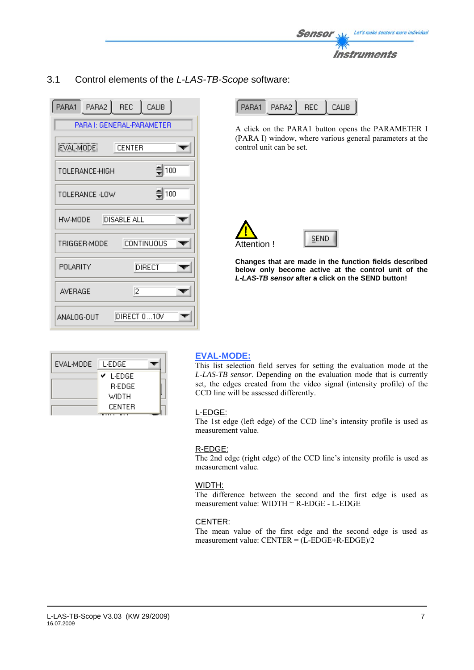

3.1 Control elements of the *L-LAS-TB-Scope* software:

| PARA1 PARA2 REC CALIB               |  |  |
|-------------------------------------|--|--|
| PARA I: GENERAL-PARAMETER           |  |  |
| EVAL-MODE<br><b>CENTER</b>          |  |  |
| $\frac{4}{3}$ 100<br>TOLERANCE-HIGH |  |  |
| $= 100$<br>TOLERANCE -LOW           |  |  |
| <b>DISABLE ALL</b><br>HW-MODE –     |  |  |
| <b>CONTINUOUS</b><br>TRIGGER-MODE   |  |  |
| POLARITY<br><b>DIRECT</b>           |  |  |
| <b>AVERAGE</b><br>2                 |  |  |
| DIRECT 010V<br>ANALOG-OUT           |  |  |

| EVAL-MODE | L-EDGE        |  |
|-----------|---------------|--|
|           | L-EDGE<br>✔   |  |
|           | <b>R-EDGE</b> |  |
|           | WIDTH         |  |
|           | CENTER        |  |
|           |               |  |

| PARA1   PARA2   REC   CALIB |  |
|-----------------------------|--|
|                             |  |

A click on the PARA1 button opens the PARAMETER I (PARA I) window, where various general parameters at the control unit can be set.





**Changes that are made in the function fields described below only become active at the control unit of the** *L-LAS-TB sensor* **after a click on the SEND button!**

### **EVAL-MODE:**

This list selection field serves for setting the evaluation mode at the *L-LAS-TB sensor*. Depending on the evaluation mode that is currently set, the edges created from the video signal (intensity profile) of the CCD line will be assessed differently.

### L-EDGE:

The 1st edge (left edge) of the CCD line's intensity profile is used as measurement value.

#### R-EDGE:

The 2nd edge (right edge) of the CCD line's intensity profile is used as measurement value.

#### WIDTH:

The difference between the second and the first edge is used as measurement value: WIDTH = R-EDGE - L-EDGE

### CENTER:

The mean value of the first edge and the second edge is used as measurement value: CENTER = (L-EDGE+R-EDGE)/2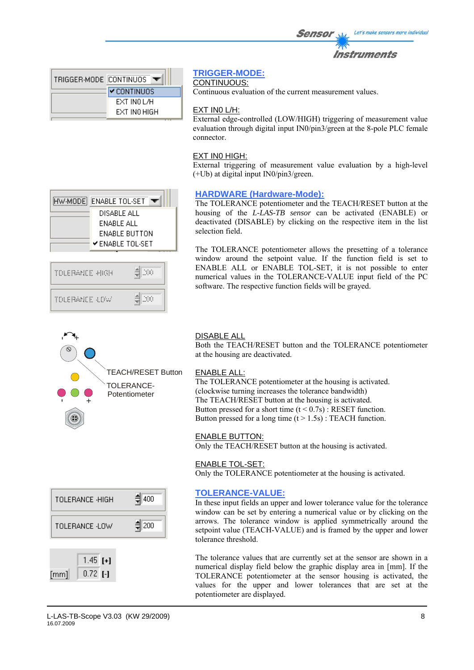### **TRIGGER-MODE:**

### CONTINUOUS:

Continuous evaluation of the current measurement values.

### EXT IN0 L/H:

External edge-controlled (LOW/HIGH) triggering of measurement value evaluation through digital input IN0/pin3/green at the 8-pole PLC female connector.

### EXT IN0 HIGH:

External triggering of measurement value evaluation by a high-level (+Ub) at digital input IN0/pin3/green.

### **HARDWARE (Hardware-Mode):**

The TOLERANCE potentiometer and the TEACH/RESET button at the housing of the *L-LAS-TB sensor* can be activated (ENABLE) or deactivated (DISABLE) by clicking on the respective item in the list selection field.

The TOLERANCE potentiometer allows the presetting of a tolerance window around the setpoint value. If the function field is set to ENABLE ALL or ENABLE TOL-SET, it is not possible to enter numerical values in the TOLERANCE-VALUE input field of the PC software. The respective function fields will be grayed.

### DISABLE ALL

Both the TEACH/RESET button and the TOLERANCE potentiometer at the housing are deactivated.

### ENABLE ALL:

The TOLERANCE potentiometer at the housing is activated. (clockwise turning increases the tolerance bandwidth) The TEACH/RESET button at the housing is activated. Button pressed for a short time  $(t < 0.7s)$ : RESET function. Button pressed for a long time  $(t > 1.5s)$ : TEACH function.

### ENABLE BUTTON:

Only the TEACH/RESET button at the housing is activated.

### ENABLE TOL-SET:

Only the TOLERANCE potentiometer at the housing is activated.

#### **TOLERANCE-VALUE:**

In these input fields an upper and lower tolerance value for the tolerance window can be set by entering a numerical value or by clicking on the arrows. The tolerance window is applied symmetrically around the setpoint value (TEACH-VALUE) and is framed by the upper and lower tolerance threshold.

The tolerance values that are currently set at the sensor are shown in a numerical display field below the graphic display area in [mm]. If the TOLERANCE potentiometer at the sensor housing is activated, the values for the upper and lower tolerances that are set at the potentiometer are displayed.

# \$30 TOLERANCE LOW +

 $\frac{4}{3}$  400

휘200

TOLERANCE - HIGH

TOLERANCE -LOW

 $[mm]$ 

 $1.45$  [+]  $0.72$   $-1$ 







TRIGGER-MODE CONTINUOS

**V CONTINUOS** EXT INO L/H EXT INO HIGH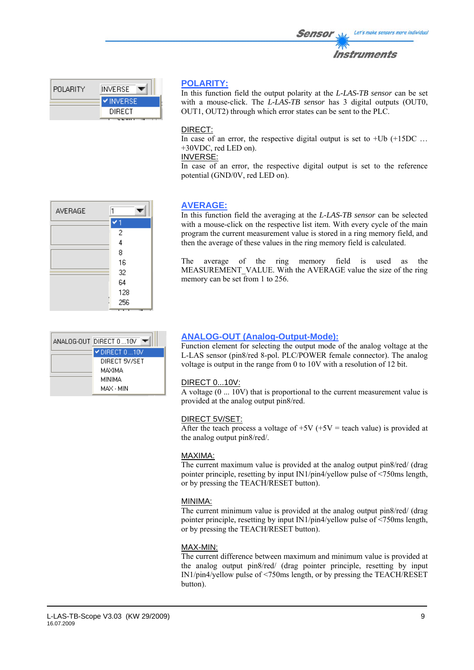| <b>Sensor</b> | Let's make sensors more individual |
|---------------|------------------------------------|
|               |                                    |
|               | <i><b>Instruments</b></i>          |

| <b>POLARITY</b> | INVERSE         |
|-----------------|-----------------|
|                 | <b>VINVERSE</b> |
|                 | DIRECT          |
|                 |                 |

### **POLARITY:**

In this function field the output polarity at the *L-LAS-TB sensor* can be set with a mouse-click. The *L-LAS-TB sensor* has 3 digital outputs (OUT0, OUT1, OUT2) through which error states can be sent to the PLC.

### DIRECT:

In case of an error, the respective digital output is set to  $+Ub$  ( $+15DC$  ... +30VDC, red LED on).

INVERSE:

In case of an error, the respective digital output is set to the reference potential (GND/0V, red LED on).



| ANALOG-OUT DIRECT 010V<br>$\overline{\phantom{a}}$ |
|----------------------------------------------------|
| $\blacktriangleright$ DIRECT 0 10V                 |
| DIRECT 5V/SET                                      |
| MAXIMA                                             |
| MINIMA                                             |
| MAX - MIN                                          |

### **AVERAGE:**

In this function field the averaging at the *L-LAS-TB sensor* can be selected with a mouse-click on the respective list item. With every cycle of the main program the current measurement value is stored in a ring memory field, and then the average of these values in the ring memory field is calculated.

The average of the ring memory field is used as the MEASUREMENT VALUE. With the AVERAGE value the size of the ring memory can be set from 1 to 256.

### **ANALOG-OUT (Analog-Output-Mode):**

Function element for selecting the output mode of the analog voltage at the L-LAS sensor (pin8/red 8-pol. PLC/POWER female connector). The analog voltage is output in the range from 0 to 10V with a resolution of 12 bit.

### DIRECT 0...10V:

A voltage (0 ... 10V) that is proportional to the current measurement value is provided at the analog output pin8/red.

### DIRECT 5V/SET:

After the teach process a voltage of  $+5V$  ( $+5V$  = teach value) is provided at the analog output pin8/red/.

### MAXIMA:

The current maximum value is provided at the analog output pin8/red/ (drag pointer principle, resetting by input IN1/pin4/yellow pulse of <750ms length, or by pressing the TEACH/RESET button).

### MINIMA:

The current minimum value is provided at the analog output pin8/red/ (drag pointer principle, resetting by input IN1/pin4/yellow pulse of <750ms length, or by pressing the TEACH/RESET button).

### MAX-MIN:

The current difference between maximum and minimum value is provided at the analog output pin8/red/ (drag pointer principle, resetting by input IN1/pin4/yellow pulse of <750ms length, or by pressing the TEACH/RESET button).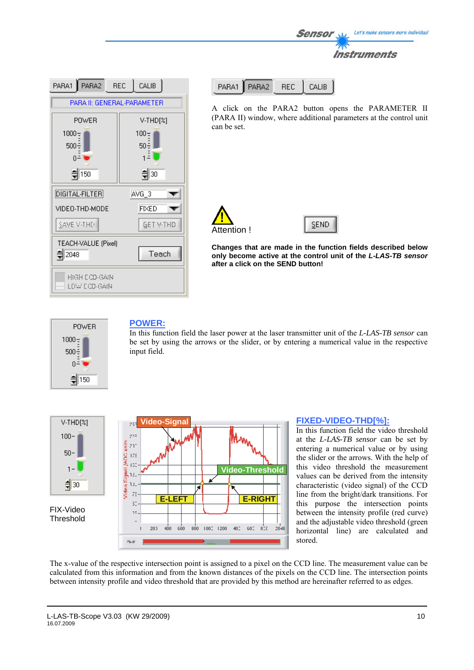|                                                   |                                                                     | Let's make sensors more individual<br><b>Sensor</b>                                                                                                                |
|---------------------------------------------------|---------------------------------------------------------------------|--------------------------------------------------------------------------------------------------------------------------------------------------------------------|
|                                                   |                                                                     | <b>SANT</b><br><b>Instruments</b>                                                                                                                                  |
| PARA1<br>PARA2<br>PARA II: GENERAL-PARAMETER      | CALIB<br><b>REC</b>                                                 | PARA1<br>PARA2<br><b>REC</b><br>CALIB                                                                                                                              |
| <b>POWER</b><br>$1000 -$<br>$500 -$<br>0÷<br>(150 | V-THD[%]<br>$100 -$<br>$50 -$<br>$\overline{1}$<br>$\frac{2}{3}$ 30 | A click on the PARA2 button opens the PARAMETER II<br>(PARA II) window, where additional parameters at the control unit<br>can be set.                             |
| DIGITAL-FILTER<br>VIDEO-THD-MODE<br>SOME VALHE    | AVG_3<br><b>FIXED</b><br><b>BET V-THD</b>                           | SEND<br>Attention!                                                                                                                                                 |
| TEACH-VALUE (Pixel)<br>$= 2048$<br>HIGH COD-GAIN  | Teach                                                               | Changes that are made in the function fields described below<br>only become active at the control unit of the L-LAS-TB sensor<br>after a click on the SEND button! |



LOW COD-GAIN

### **POWER:**

In this function field the laser power at the laser transmitter unit of the *L-LAS-TB sensor* can be set by using the arrows or the slider, or by entering a numerical value in the respective input field.



**Threshold** 

**Video-Signal**  $25^{\circ}$  $225$ **ADC** units  $21^{\circ}$  $175$  $\overline{17}$ imani / **Video-Threshold** $12$ Video Si IJ. K  $75$ **E-LEFT E-RIGHT**  $\ddot{z}$  $25$ 200  $400$ 600  $800 - 100$   $1200 - 40$  $600 - 800$  $20 - 8$  $\overline{1}$  $\mathcal{P}_{\mathbf{b},\mathbf{d}'}$ 

### **FIXED-VIDEO-THD[%]:**

In this function field the video threshold at the *L-LAS-TB sensor* can be set by entering a numerical value or by using the slider or the arrows. With the help of this video threshold the measurement values can be derived from the intensity characteristic (video signal) of the CCD line from the bright/dark transitions. For this purpose the intersection points between the intensity profile (red curve) and the adjustable video threshold (green horizontal line) are calculated and stored.

The x-value of the respective intersection point is assigned to a pixel on the CCD line. The measurement value can be calculated from this information and from the known distances of the pixels on the CCD line. The intersection points between intensity profile and video threshold that are provided by this method are hereinafter referred to as edges.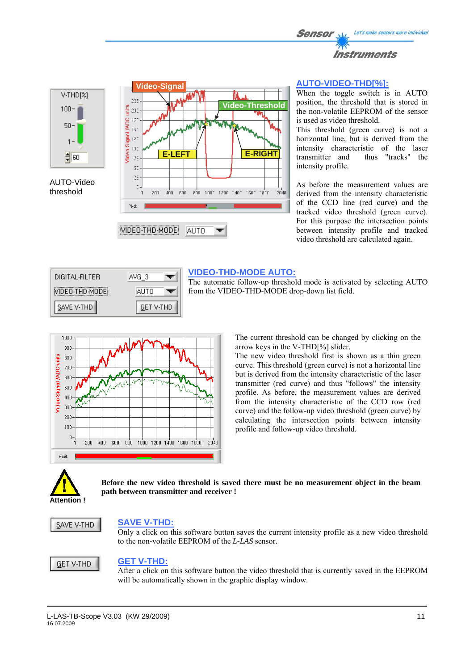



AUTO-Video threshold



### **AUTO-VIDEO-THD[%]:**

When the toggle switch is in AUTO position, the threshold that is stored in the non-volatile EEPROM of the sensor is used as video threshold.

This threshold (green curve) is not a horizontal line, but is derived from the intensity characteristic of the laser transmitter and thus "tracks" the intensity profile.

As before the measurement values are derived from the intensity characteristic of the CCD line (red curve) and the tracked video threshold (green curve). For this purpose the intersection points between intensity profile and tracked video threshold are calculated again.



### **VIDEO-THD-MODE AUTO:**

The automatic follow-up threshold mode is activated by selecting AUTO from the VIDEO-THD-MODE drop-down list field.



The current threshold can be changed by clicking on the arrow keys in the V-THD[%] slider.

The new video threshold first is shown as a thin green curve. This threshold (green curve) is not a horizontal line but is derived from the intensity characteristic of the laser transmitter (red curve) and thus "follows" the intensity profile. As before, the measurement values are derived from the intensity characteristic of the CCD row (red curve) and the follow-up video threshold (green curve) by calculating the intersection points between intensity profile and follow-up video threshold.



**Before the new video threshold is saved there must be no measurement object in the beam path between transmitter and receiver !**

SAVE V-THD

### **SAVE V-THD:**

Only a click on this software button saves the current intensity profile as a new video threshold to the non-volatile EEPROM of the *L-LAS* sensor.

### **GET V-THD**

### **GET V-THD:**

After a click on this software button the video threshold that is currently saved in the EEPROM will be automatically shown in the graphic display window.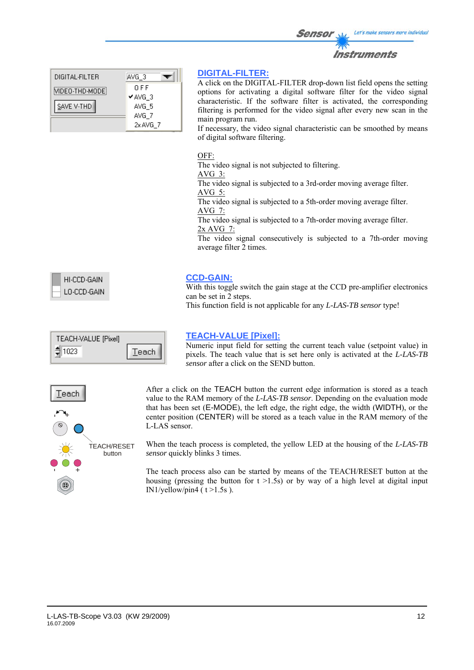| DIGITAL-FILTER               | AVG 3                                       |
|------------------------------|---------------------------------------------|
| MDEO-THD-MODE:<br>SAVE V-THD | OFF<br>✔AVG 3<br>AVG 5<br>AVG 7<br>2x AVG 7 |

### **DIGITAL-FILTER:**

A click on the DIGITAL-FILTER drop-down list field opens the setting options for activating a digital software filter for the video signal characteristic. If the software filter is activated, the corresponding filtering is performed for the video signal after every new scan in the main program run.

If necessary, the video signal characteristic can be smoothed by means of digital software filtering.

OFF:

The video signal is not subjected to filtering.

AVG\_3: The video signal is subjected to a 3rd-order moving average filter.

AVG\_5:

AVG\_7:

2x AVG\_7:

HI-CCD-GAIN LO-CCD-GAIN

| TEACH-VALUE [Pixel] |       |
|---------------------|-------|
| $\frac{4}{2}$ 1023  | Teach |



### **CCD-GAIN:**

With this toggle switch the gain stage at the CCD pre-amplifier electronics can be set in 2 steps. This function field is not applicable for any *L-LAS-TB sensor* type!

The video signal is subjected to a 5th-order moving average filter.

The video signal is subjected to a 7th-order moving average filter.

The video signal consecutively is subjected to a 7th-order moving

**TEACH-VALUE [Pixel]:**

average filter 2 times.

Numeric input field for setting the current teach value (setpoint value) in pixels. The teach value that is set here only is activated at the *L-LAS-TB sensor* after a click on the SEND button.

After a click on the TEACH button the current edge information is stored as a teach value to the RAM memory of the *L-LAS-TB sensor*. Depending on the evaluation mode that has been set (E-MODE), the left edge, the right edge, the width (WIDTH), or the center position (CENTER) will be stored as a teach value in the RAM memory of the L-LAS sensor.

When the teach process is completed, the yellow LED at the housing of the *L-LAS-TB sensor* quickly blinks 3 times.

The teach process also can be started by means of the TEACH/RESET button at the housing (pressing the button for  $t > 1.5s$ ) or by way of a high level at digital input IN1/yellow/pin4 ( $t > 1.5s$ ).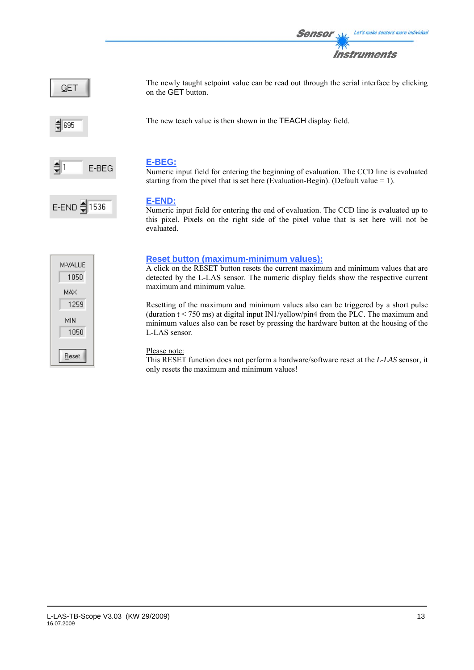

This RESET function does not perform a hardware/software reset at the *L-LAS* sensor, it only resets the maximum and minimum values!

Let's make sensors more individual

Sensol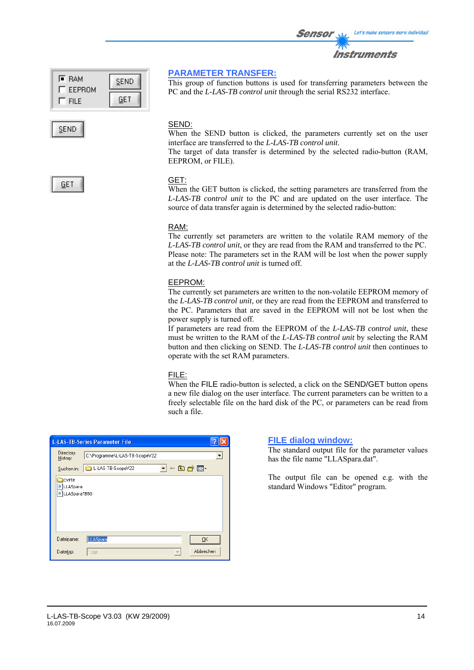| I≣ RAM<br>EEPROM | SEND |  |
|------------------|------|--|
| <b>FILE</b>      |      |  |

**SEND** 

GET

#### **PARAMETER TRANSFER:**

This group of function buttons is used for transferring parameters between the PC and the *L-LAS-TB control unit* through the serial RS232 interface.

### SEND:

When the SEND button is clicked, the parameters currently set on the user interface are transferred to the *L-LAS-TB control unit*.

The target of data transfer is determined by the selected radio-button (RAM, EEPROM, or FILE).

#### GET:

When the GET button is clicked, the setting parameters are transferred from the *L-LAS-TB control unit* to the PC and are updated on the user interface. The source of data transfer again is determined by the selected radio-button:

#### RAM:

The currently set parameters are written to the volatile RAM memory of the *L-LAS-TB control unit*, or they are read from the RAM and transferred to the PC. Please note: The parameters set in the RAM will be lost when the power supply at the *L-LAS-TB control unit* is turned off.

### EEPROM:

The currently set parameters are written to the non-volatile EEPROM memory of the *L-LAS-TB control unit*, or they are read from the EEPROM and transferred to the PC. Parameters that are saved in the EEPROM will not be lost when the power supply is turned off.

If parameters are read from the EEPROM of the *L-LAS-TB control unit*, these must be written to the RAM of the *L-LAS-TB control unit* by selecting the RAM button and then clicking on SEND. The *L-LAS-TB control unit* then continues to operate with the set RAM parameters.

### FILE:

When the FILE radio-button is selected, a click on the SEND/GET button opens a new file dialog on the user interface. The current parameters can be written to a freely selectable file on the hard disk of the PC, or parameters can be read from such a file.

|                                              | <b>L-LAS-TB-Series Parameter File</b> |        |           |  |
|----------------------------------------------|---------------------------------------|--------|-----------|--|
| Directory<br>History:                        | C:\Programme\L-LAS-TB-ScopeV22        |        |           |  |
| Suchen in:                                   | L-LAS-TB-ScopeV22                     |        | ▼←白び囲     |  |
| <b>l</b> icvirte<br>LLASpara<br>LLASparaTB50 |                                       |        |           |  |
| Dateiname:                                   | LLASpara                              |        | QK        |  |
| Dateityp:                                    | *, dat                                | $\sim$ | Abbrechen |  |

### **FILE dialog window:**

The standard output file for the parameter values has the file name "LLASpara.dat".

The output file can be opened e.g. with the standard Windows "Editor" program.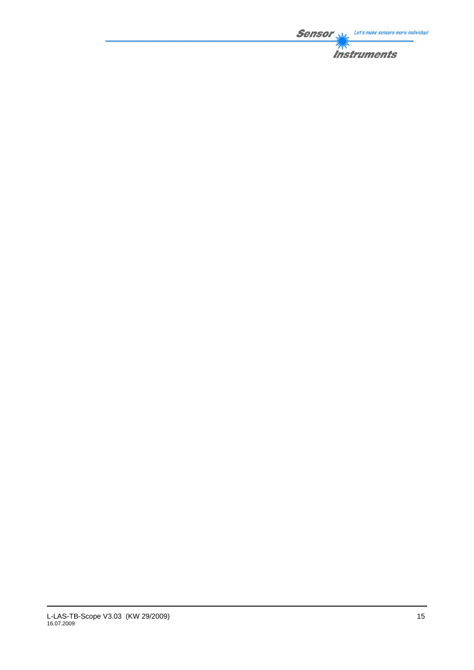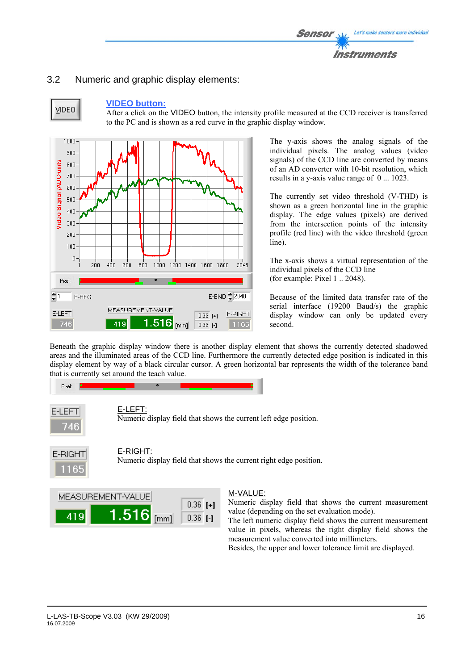### 3.2 Numeric and graphic display elements:



#### **VIDEO button:**

After a click on the VIDEO button, the intensity profile measured at the CCD receiver is transferred to the PC and is shown as a red curve in the graphic display window.



The y-axis shows the analog signals of the individual pixels. The analog values (video signals) of the CCD line are converted by means of an AD converter with 10-bit resolution, which results in a y-axis value range of 0 ... 1023.

The currently set video threshold (V-THD) is shown as a green horizontal line in the graphic display. The edge values (pixels) are derived from the intersection points of the intensity profile (red line) with the video threshold (green line).

The x-axis shows a virtual representation of the individual pixels of the CCD line (for example: Pixel 1 .. 2048).

Because of the limited data transfer rate of the serial interface (19200 Baud/s) the graphic display window can only be updated every second.

Beneath the graphic display window there is another display element that shows the currently detected shadowed areas and the illuminated areas of the CCD line. Furthermore the currently detected edge position is indicated in this display element by way of a black circular cursor. A green horizontal bar represents the width of the tolerance band that is currently set around the teach value.





Numeric display field that shows the current left edge position.



#### E-RIGHT:

Numeric display field that shows the current right edge position.



### M-VALUE:

Numeric display field that shows the current measurement value (depending on the set evaluation mode).

The left numeric display field shows the current measurement value in pixels, whereas the right display field shows the measurement value converted into millimeters.

Besides, the upper and lower tolerance limit are displayed.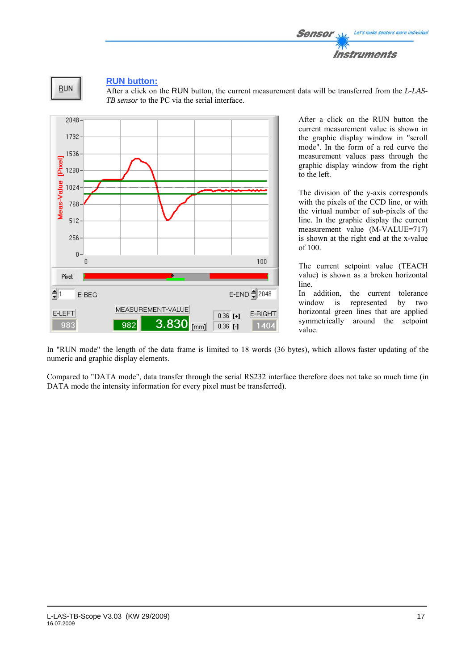



### **RUN button:**

After a click on the RUN button, the current measurement data will be transferred from the *L-LAS-TB sensor* to the PC via the serial interface.



After a click on the RUN button the current measurement value is shown in the graphic display window in "scroll mode". In the form of a red curve the measurement values pass through the graphic display window from the right to the left.

The division of the y-axis corresponds with the pixels of the CCD line, or with the virtual number of sub-pixels of the line. In the graphic display the current measurement value (M-VALUE=717) is shown at the right end at the x-value of 100.

The current setpoint value (TEACH value) is shown as a broken horizontal line.

In addition, the current tolerance window is represented by two horizontal green lines that are applied symmetrically around the setpoint value.

In "RUN mode" the length of the data frame is limited to 18 words (36 bytes), which allows faster updating of the numeric and graphic display elements.

Compared to "DATA mode", data transfer through the serial RS232 interface therefore does not take so much time (in DATA mode the intensity information for every pixel must be transferred).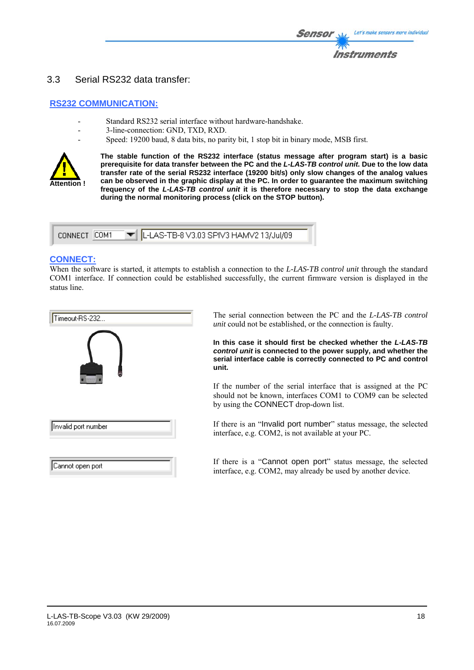### 3.3 Serial RS232 data transfer:

### **RS232 COMMUNICATION:**

- Standard RS232 serial interface without hardware-handshake.
- 3-line-connection: GND, TXD, RXD.
- Speed: 19200 baud, 8 data bits, no parity bit, 1 stop bit in binary mode, MSB first.



**The stable function of the RS232 interface (status message after program start) is a basic prerequisite for data transfer between the PC and the** *L-LAS-TB control unit***. Due to the low data transfer rate of the serial RS232 interface (19200 bit/s) only slow changes of the analog values can be observed in the graphic display at the PC. In order to guarantee the maximum switching frequency of the** *L-LAS-TB control unit* **it is therefore necessary to stop the data exchange during the normal monitoring process (click on the STOP button).** 

L-LAS-TB-8 V3.03 SPIV3 HAMV2 13/Jul/09 CONNECT COM1

### **CONNECT:**

When the software is started, it attempts to establish a connection to the *L-LAS-TB control unit* through the standard COM1 interface. If connection could be established successfully, the current firmware version is displayed in the status line.



The serial connection between the PC and the *L-LAS-TB control unit* could not be established, or the connection is faulty.

**In this case it should first be checked whether the** *L-LAS-TB control unit* **is connected to the power supply, and whether the serial interface cable is correctly connected to PC and control unit.** 

If the number of the serial interface that is assigned at the PC should not be known, interfaces COM1 to COM9 can be selected by using the CONNECT drop-down list.

If there is an "Invalid port number" status message, the selected interface, e.g. COM2, is not available at your PC.

If there is a "Cannot open port" status message, the selected interface, e.g. COM2, may already be used by another device.

Cannot open port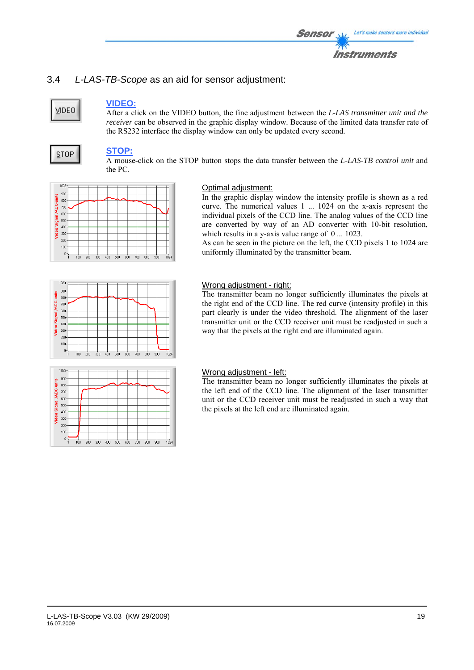### 3.4 *L-LAS-TB-Scope* as an aid for sensor adjustment:

## **VIDEO**

### **VIDEO:**

After a click on the VIDEO button, the fine adjustment between the *L-LAS transmitter unit and the receiver* can be observed in the graphic display window. Because of the limited data transfer rate of the RS232 interface the display window can only be updated every second.

## **STOP**

 $0 -$ 

### **STOP:**

A mouse-click on the STOP button stops the data transfer between the *L-LAS-TB control unit* and the PC.



### Optimal adjustment:

In the graphic display window the intensity profile is shown as a red curve. The numerical values 1 ... 1024 on the x-axis represent the individual pixels of the CCD line. The analog values of the CCD line are converted by way of an AD converter with 10-bit resolution, which results in a y-axis value range of  $0 \dots 1023$ .

As can be seen in the picture on the left, the CCD pixels 1 to 1024 are uniformly illuminated by the transmitter beam.



 $1024$ 

### Wrong adjustment - right:

The transmitter beam no longer sufficiently illuminates the pixels at the right end of the CCD line. The red curve (intensity profile) in this part clearly is under the video threshold. The alignment of the laser transmitter unit or the CCD receiver unit must be readjusted in such a way that the pixels at the right end are illuminated again.



 $500$ såo 700  $800$  $900$ 

 $300$ 

### Wrong adjustment - left:

The transmitter beam no longer sufficiently illuminates the pixels at the left end of the CCD line. The alignment of the laser transmitter unit or the CCD receiver unit must be readjusted in such a way that the pixels at the left end are illuminated again.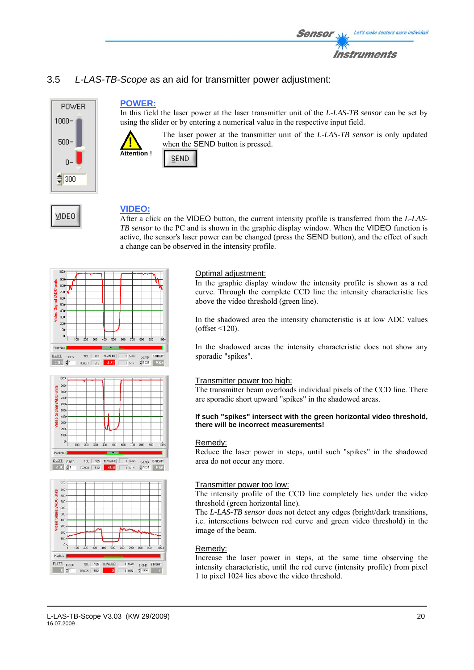

### 3.5 *L-LAS-TB-Scope* as an aid for transmitter power adjustment:



VIDEO

# **POWER:**

In this field the laser power at the laser transmitter unit of the *L-LAS-TB sensor* can be set by using the slider or by entering a numerical value in the respective input field.



The laser power at the transmitter unit of the *L-LAS-TB sensor* is only updated when the SEND button is pressed.



### **VIDEO:**

After a click on the VIDEO button, the current intensity profile is transferred from the *L-LAS-TB sensor* to the PC and is shown in the graphic display window. When the VIDEO function is active, the sensor's laser power can be changed (press the SEND button), and the effect of such a change can be observed in the intensity profile.



#### $1023$ -ann **ADC-units** 800  $\overline{700}$ ion. Signal ism.  $400$ Video 300 200 100  $0$ żù Pagel-No.: TOL | 105 M-VALUE  $\begin{array}{|c|c|c|c|}\hline -1 & \text{MAX} & \text{E-END} & \text{E-RIGH} \\ \hline & 1 & \text{MIN} & \frac{d}{2} & 1024 & 5556 \\ \hline \end{array}$ ELEFT EBEG TEACH 512 496 436 章1



### Optimal adjustment:

In the graphic display window the intensity profile is shown as a red curve. Through the complete CCD line the intensity characteristic lies above the video threshold (green line).

In the shadowed area the intensity characteristic is at low ADC values  $(offset < 120)$ .

In the shadowed areas the intensity characteristic does not show any sporadic "spikes".

### Transmitter power too high:

The transmitter beam overloads individual pixels of the CCD line. There are sporadic short upward "spikes" in the shadowed areas.

#### **If such "spikes" intersect with the green horizontal video threshold, there will be incorrect measurements!**

#### Remedy:

Reduce the laser power in steps, until such "spikes" in the shadowed area do not occur any more.

#### Transmitter power too low:

The intensity profile of the CCD line completely lies under the video threshold (green horizontal line).

The *L-LAS-TB sensor* does not detect any edges (bright/dark transitions, i.e. intersections between red curve and green video threshold) in the image of the beam.

#### Remedy:

Increase the laser power in steps, at the same time observing the intensity characteristic, until the red curve (intensity profile) from pixel 1 to pixel 1024 lies above the video threshold.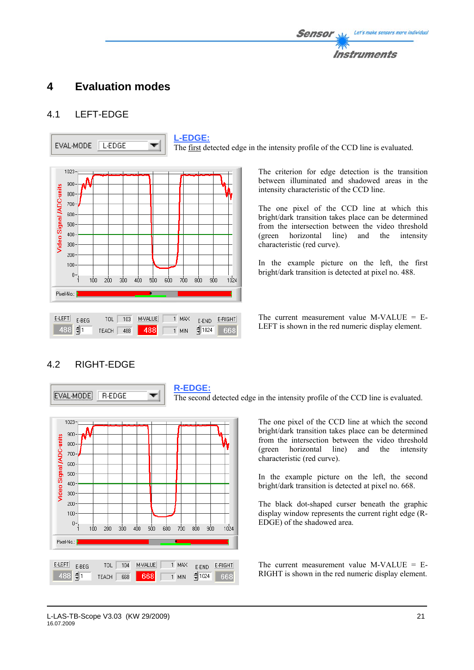### **4 Evaluation modes**

### 4.1 LEFT-EDGE



The first detected edge in the intensity profile of the CCD line is evaluated.

The criterion for edge detection is the transition between illuminated and shadowed areas in the intensity characteristic of the CCD line.

The one pixel of the CCD line at which this bright/dark transition takes place can be determined from the intersection between the video threshold (green horizontal line) and the intensity characteristic (red curve).

In the example picture on the left, the first bright/dark transition is detected at pixel no. 488.

The current measurement value  $M-VALUE = E-$ LEFT is shown in the red numeric display element.

### 4.2 RIGHT-EDGE

EVAL-MODE **R-EDGE**  **R-EDGE:**

The second detected edge in the intensity profile of the CCD line is evaluated.



▼

The one pixel of the CCD line at which the second bright/dark transition takes place can be determined from the intersection between the video threshold (green horizontal line) and the intensity characteristic (red curve).

In the example picture on the left, the second bright/dark transition is detected at pixel no. 668.

The black dot-shaped curser beneath the graphic display window represents the current right edge (R-EDGE) of the shadowed area.

The current measurement value  $M-VALUE = E-$ RIGHT is shown in the red numeric display element.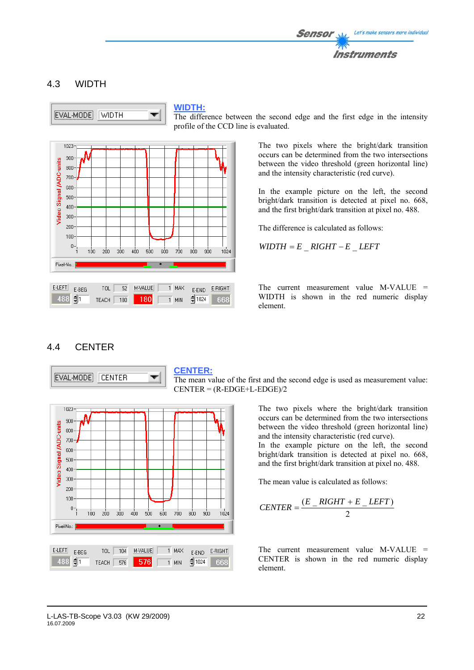

### 4.3 WIDTH



#### **WIDTH:**

The difference between the second edge and the first edge in the intensity profile of the CCD line is evaluated.



The two pixels where the bright/dark transition occurs can be determined from the two intersections between the video threshold (green horizontal line) and the intensity characteristic (red curve).

In the example picture on the left, the second bright/dark transition is detected at pixel no. 668, and the first bright/dark transition at pixel no. 488.

The difference is calculated as follows:

 $WIDTH = E$   $RIGHT - E$   $LEFT$ 

The current measurement value M-VALUE = WIDTH is shown in the red numeric display element.

### 4.4 CENTER

 $1023 300<sub>1</sub>$ 

 $800 700 600 500 -$ 400  $300<sub>1</sub>$  $200$  $100 0 - 1$ 

Video Signal *IADC-units* 

Pixel-No.:

 $E$ -LEFT

 $488$   $\frac{5}{11}$ 

 $E-BEG$ 



#### **CENTER:**

800  $900$ 

 $1024$ 

 $1$  MAX

 $\overline{1}$  MIN

1024

E-END E-RIGHT

668

The mean value of the first and the second edge is used as measurement value:  $CENTER = (R-EDGE+L-EDGE)/2$ 

> The two pixels where the bright/dark transition occurs can be determined from the two intersections between the video threshold (green horizontal line) and the intensity characteristic (red curve).

> In the example picture on the left, the second bright/dark transition is detected at pixel no. 668, and the first bright/dark transition at pixel no. 488.

The mean value is calculated as follows:

$$
CENTER = \frac{(E_RIGHT + E_LLEFT)}{2}
$$

The current measurement value M-VALUE = CENTER is shown in the red numeric display element.

TOL  $\sqrt{104}$ 

TEACH 576

M-VALUE

576

 $100 200 -$ 300 400  $500$ 600 700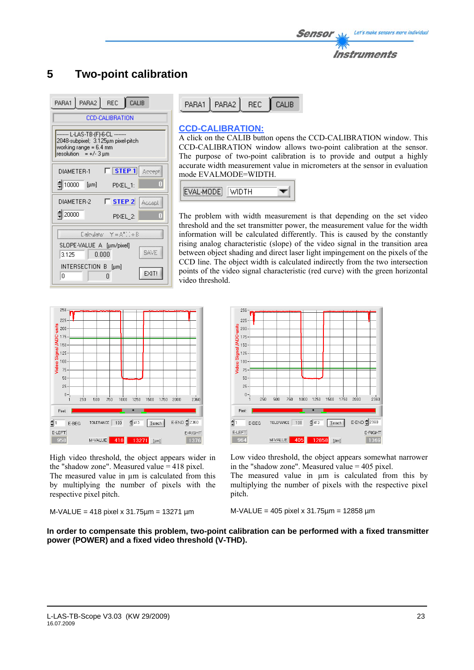### **5 Two-point calibration**

| PARA2 REC CALIB<br>PARA1                                                                                                           | PARA1                                                                           |
|------------------------------------------------------------------------------------------------------------------------------------|---------------------------------------------------------------------------------|
| CCD-CALIBRATION                                                                                                                    |                                                                                 |
| -------- L-LAS-TB-(F)-6-CL --------<br>2048-subpixel; 3.125µm pixel-pitch<br>working range $= 6.4$ mm<br>resolution = $+/-3 \mu m$ | <b>CCD-C</b><br>A click<br>$CCD-C$<br>The pur                                   |
| $\Gamma$ STEP 1 $\approx$<br>DIAMETER-1<br>(10000 [µm] PIXEL_1:                                                                    | accurate<br>mode E<br>EVAL-N                                                    |
| $\Box$ STEP 2<br>DIAMETER-2<br>20000<br>0<br>PIXEL_2:                                                                              | The pro                                                                         |
| Calculate: Y=A*II+B<br>SLOPE-VALUE A [µm/pixel]<br>0.000<br>3.125<br>INTERSECTION B [µm]<br>EXIT!<br>0<br>Ω                        | threshol<br>informat<br>rising an<br>between<br>CCD lin<br>points o<br>video th |

|  | PARA1   PARA2   REC   CALIB |  |
|--|-----------------------------|--|
|  |                             |  |

### CALIBRATION:

on the CALIB button opens the CCD-CALIBRATION window. This ALIBRATION window allows two-point calibration at the sensor. rpose of two-point calibration is to provide and output a highly width measurement value in micrometers at the sensor in evaluation VALMODE=WIDTH.



blem with width measurement is that depending on the set video d and the set transmitter power, the measurement value for the width tion will be calculated differently. This is caused by the constantly rialog characteristic (slope) of the video signal in the transition area object shading and direct laser light impingement on the pixels of the e. The object width is calculated indirectly from the two intersection of the video signal characteristic (red curve) with the green horizontal reshold.



High video threshold, the object appears wider in the "shadow zone". Measured value  $= 418$  pixel. The measured value in um is calculated from this by multiplying the number of pixels with the respective pixel pitch.

$$
M\text{-}VALUE = 418
$$
 pixel x 31.75µm = 13271 µm

 $256 225 \frac{3}{5}$  200- $175$ юc .<br>• 150- $\frac{1}{2}$  125  $100$ *l*ideo  $75 50 25 0 - 1$  $250$  $500$ 750 1000 1250 1500 1750 2000  $2360$ Pixel: E-END 2360  $\frac{1}{2}$ 1 E-BEG TOLERANCE 100  $\frac{4}{3}$  413 Teach E-LEFT E-RIGHT  $\sqrt{964}$  $12858$  [µm] M-VALUE 405 1369

Low video threshold, the object appears somewhat narrower in the "shadow zone". Measured value = 405 pixel.

The measured value in um is calculated from this by multiplying the number of pixels with the respective pixel pitch.

M-VALUE = 405 pixel x 31.75µm = 12858 µm

**In order to compensate this problem, two-point calibration can be performed with a fixed transmitter power (POWER) and a fixed video threshold (V-THD).**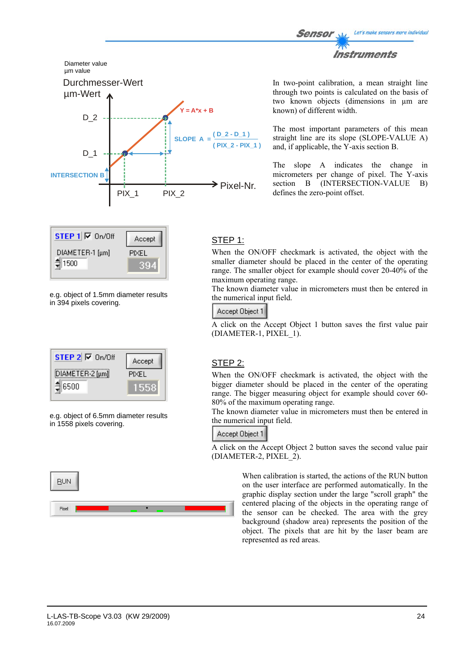



| STEP $1 \nabla$ On/Off   | Accept |
|--------------------------|--------|
| DIAMETER-1 [µm]<br>휘1500 | PIXEL  |

e.g. object of 1.5mm diameter results in 394 pixels covering.

| STEP $2 \nabla$ On/Off | Accept |
|------------------------|--------|
| DIAMETER-2 [µm]        | PIXFI  |
| 96500                  | 1558   |

e.g. object of 6.5mm diameter results in 1558 pixels covering.



In two-point calibration, a mean straight line through two points is calculated on the basis of two known objects (dimensions in µm are known) of different width.

The most important parameters of this mean straight line are its slope (SLOPE-VALUE A) and, if applicable, the Y-axis section B.

The slope A indicates the change in micrometers per change of pixel. The Y-axis section B (INTERSECTION-VALUE B) defines the zero-point offset.

### STEP 1:

When the ON/OFF checkmark is activated, the object with the smaller diameter should be placed in the center of the operating range. The smaller object for example should cover 20-40% of the maximum operating range.

The known diameter value in micrometers must then be entered in the numerical input field.

Accept Object 1

A click on the Accept Object 1 button saves the first value pair (DIAMETER-1, PIXEL\_1).

### STEP 2:

When the ON/OFF checkmark is activated, the object with the bigger diameter should be placed in the center of the operating range. The bigger measuring object for example should cover 60- 80% of the maximum operating range.

The known diameter value in micrometers must then be entered in the numerical input field.

### Accept Object 1

A click on the Accept Object 2 button saves the second value pair (DIAMETER-2, PIXEL\_2).

> When calibration is started, the actions of the RUN button on the user interface are performed automatically. In the graphic display section under the large "scroll graph" the centered placing of the objects in the operating range of the sensor can be checked. The area with the grey background (shadow area) represents the position of the object. The pixels that are hit by the laser beam are represented as red areas.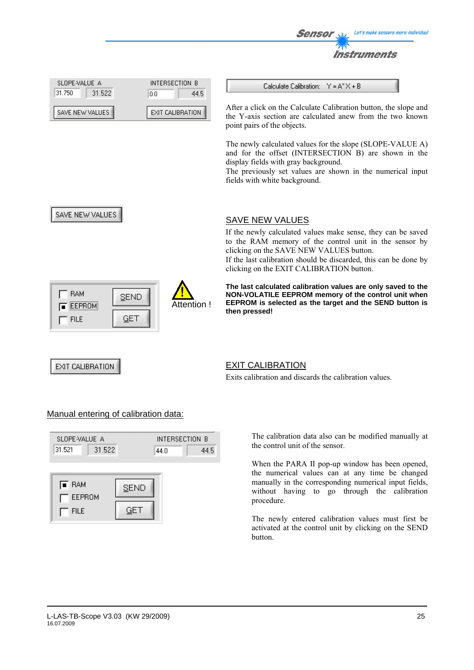

| SLOPE-VALUE A |                 | INTERSECTION B   |      |       |
|---------------|-----------------|------------------|------|-------|
| 31.750        | 31.522          | 0.0              | 44.5 |       |
|               | SAVE NEW VALUES | EXIT CALIBRATION |      | A fte |

Calculate Calibration: Y = A\*X + B

er a click on the Calculate Calibration button, the slope and the Y-axis section are calculated anew from the two known point pairs of the objects.

The newly calculated values for the slope (SLOPE-VALUE A) and for the offset (INTERSECTION B) are shown in the display fields with gray background.

The previously set values are shown in the numerical input fields with white background.



### SAVE NEW VALUES

If the newly calculated values make sense, they can be saved to the RAM memory of the control unit in the sensor by clicking on the SAVE NEW VALUES button.

If the last calibration should be discarded, this can be done by clicking on the EXIT CALIBRATION button.

**The last calculated calibration values are only saved to the NON-VOLATILE EEPROM memory of the control unit when EEPROM is selected as the target and the SEND button is then pressed!** 

EXIT CALIBRATION

### EXIT CALIBRATION

Exits calibration and discards the calibration values.

### Manual entering of calibration data:

| SLOPE-VALUE A<br>31.521          | 31.522 |             | INTERSECTION B<br>44.0 | 44.5 |
|----------------------------------|--------|-------------|------------------------|------|
| $F$ RAM<br>EEPROM<br><b>FILE</b> |        | SEND<br>GET |                        |      |

The calibration data also can be modified manually at the control unit of the sensor.

When the PARA II pop-up window has been opened, the numerical values can at any time be changed manually in the corresponding numerical input fields, without having to go through the calibration procedure.

The newly entered calibration values must first be activated at the control unit by clicking on the SEND button.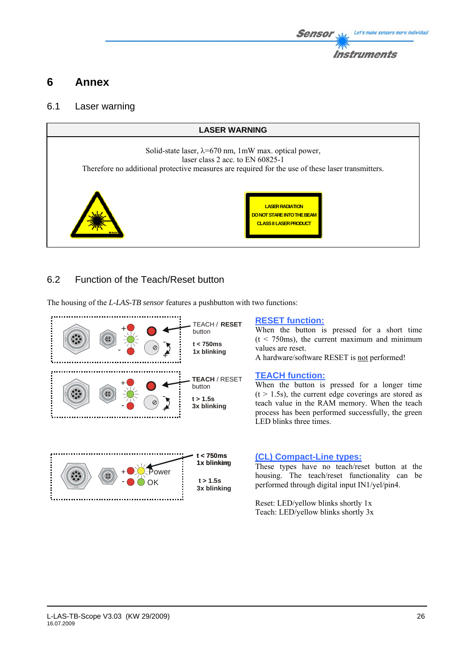

### **6 Annex**

### 6.1 Laser warning



### 6.2 Function of the Teach/Reset button

The housing of the *L-LAS-TB sensor* features a pushbutton with two functions:



### **RESET function:**

When the button is pressed for a short time  $(t < 750 \text{ms})$ , the current maximum and minimum values are reset.

A hardware/software RESET is not performed!

### **TEACH function:**

When the button is pressed for a longer time  $(t > 1.5s)$ , the current edge coverings are stored as teach value in the RAM memory. When the teach process has been performed successfully, the green LED blinks three times.

### **(CL) Compact-Line types:**

These types have no teach/reset button at the housing. The teach/reset functionality can be performed through digital input IN1/yel/pin4.

Reset: LED/yellow blinks shortly 1x Teach: LED/yellow blinks shortly 3x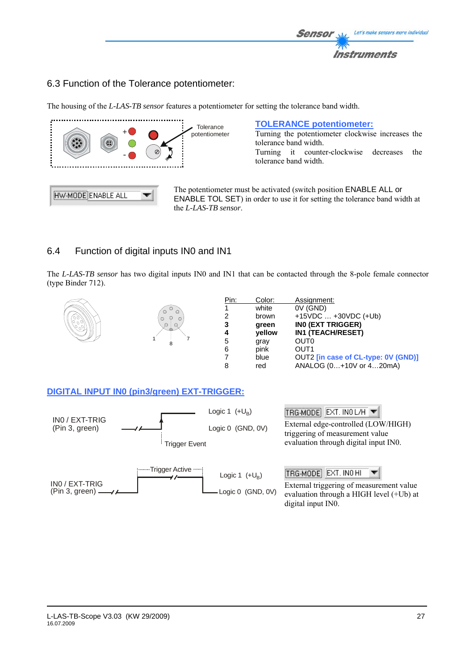

### 6.3 Function of the Tolerance potentiometer:

**Tolerance** + potentiometer 6 - - + HW-MODE ENABLE ALL

The housing of the *L-LAS-TB sensor* features a potentiometer for setting the tolerance band width. **TOLERANCE potentiometer:**

> Turning the potentiometer clockwise increases the tolerance band width. Turning it counter-clockwise decreases the tolerance band width.

The potentiometer must be activated (switch position ENABLE ALL or ENABLE TOL SET) in order to use it for setting the tolerance band width at the *L-LAS-TB sensor*.

### 6.4 Function of digital inputs IN0 and IN1

The *L-LAS-TB sensor* has two digital inputs IN0 and IN1 that can be contacted through the 8-pole female connector (type Binder 712).



**DIGITAL INPUT IN0 (pin3/green) EXT-TRIGGER:**

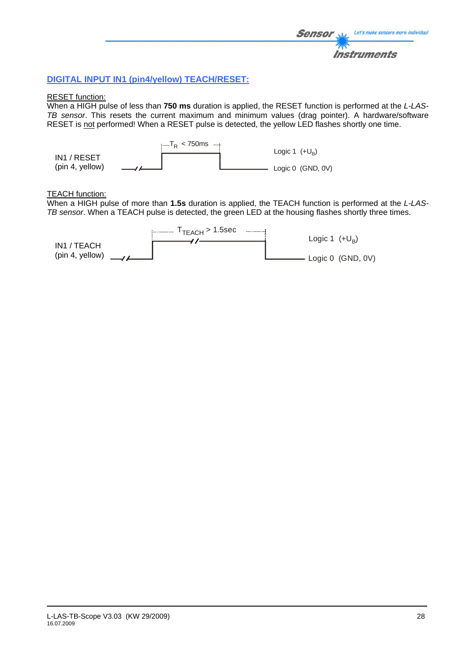

### **DIGITAL INPUT IN1 (pin4/yellow) TEACH/RESET:**

#### RESET function:

When a HIGH pulse of less than **750 ms** duration is applied, the RESET function is performed at the *L-LAS-TB sensor*. This resets the current maximum and minimum values (drag pointer). A hardware/software RESET is not performed! When a RESET pulse is detected, the yellow LED flashes shortly one time.



#### TEACH function:

When a HIGH pulse of more than **1.5s** duration is applied, the TEACH function is performed at the *L-LAS-TB sensor*. When a TEACH pulse is detected, the green LED at the housing flashes shortly three times.

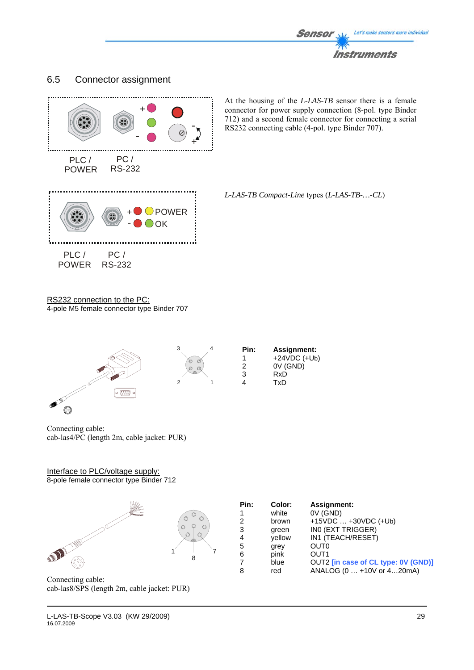

### 6.5 Connector assignment



At the housing of the *L-LAS-TB* sensor there is a female connector for power supply connection (8-pol. type Binder 712) and a second female connector for connecting a serial RS232 connecting cable (4-pol. type Binder 707).

*L-LAS-TB Compact-Line* types (*L-LAS-TB-…-CL*)

RS232 connection to the PC: 4-pole M5 female connector type Binder 707



Connecting cable: cab-las4/PC (length 2m, cable jacket: PUR)

#### Interface to PLC/voltage supply: 8-pole female connector type Binder 712



Connecting cable: cab-las8/SPS (length 2m, cable jacket: PUR)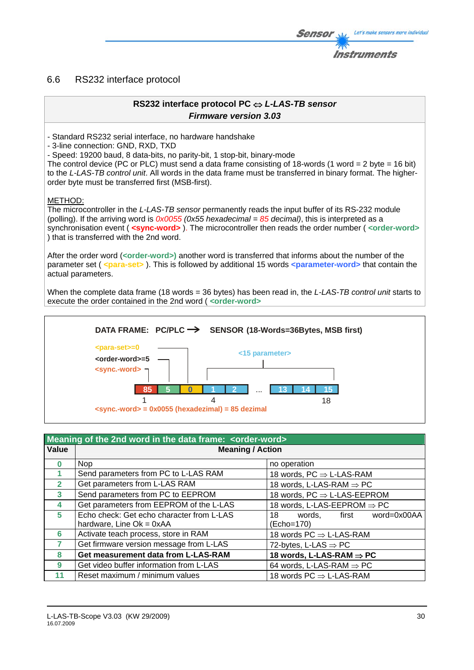### 6.6 RS232 interface protocol

### **RS232 interface protocol PC** ⇔ *L-LAS-TB sensor Firmware version 3.03*

- Standard RS232 serial interface, no hardware handshake

- 3-line connection: GND, RXD, TXD

- Speed: 19200 baud, 8 data-bits, no parity-bit, 1 stop-bit, binary-mode

The control device (PC or PLC) must send a data frame consisting of 18-words (1 word  $= 2$  byte  $= 16$  bit) to the *L-LAS-TB control unit*. All words in the data frame must be transferred in binary format. The higherorder byte must be transferred first (MSB-first).

### METHOD:

The microcontroller in the *L-LAS-TB sensor* permanently reads the input buffer of its RS-232 module (polling). If the arriving word is *0x0055 (0x55 hexadecimal = 85 decimal)*, this is interpreted as a synchronisation event ( **<sync-word>** ). The microcontroller then reads the order number ( *<***order-word>** ) that is transferred with the 2nd word.

After the order word (*<***order-word>)** another word is transferred that informs about the number of the parameter set ( *<***para-set>** ). This is followed by additional 15 words **<parameter-word>** that contain the actual parameters.

When the complete data frame (18 words = 36 bytes) has been read in, the *L-LAS-TB control unit* starts to execute the order contained in the 2nd word ( *<***order-word>**



|                | Meaning of the 2nd word in the data frame: <order-word></order-word> |                                             |  |  |
|----------------|----------------------------------------------------------------------|---------------------------------------------|--|--|
| Value          | <b>Meaning / Action</b>                                              |                                             |  |  |
| $\mathbf{0}$   | Nop.                                                                 | no operation                                |  |  |
|                | Send parameters from PC to L-LAS RAM                                 | 18 words, $PC \Rightarrow L\text{-LAS-RAM}$ |  |  |
| $\overline{2}$ | Get parameters from L-LAS RAM                                        | 18 words, L-LAS-RAM $\Rightarrow$ PC        |  |  |
| 3              | Send parameters from PC to EEPROM                                    | 18 words, PC ⇒ L-LAS-EEPROM                 |  |  |
| 4              | Get parameters from EEPROM of the L-LAS                              | 18 words, L-LAS-EEPROM $\Rightarrow$ PC     |  |  |
| 5              | Echo check: Get echo character from L-LAS                            | 18<br>word=0x00AA<br>words. first           |  |  |
|                | hardware, Line $Ok = 0xAA$                                           | (Echo=170)                                  |  |  |
| 6              | Activate teach process, store in RAM                                 | 18 words $PC \Rightarrow L\text{-LAS-RAM}$  |  |  |
| 7              | Get firmware version message from L-LAS                              | 72-bytes, L-LAS $\Rightarrow$ PC            |  |  |
| 8              | Get measurement data from L-LAS-RAM                                  | 18 words, L-LAS-RAM $\Rightarrow$ PC        |  |  |
| 9              | Get video buffer information from L-LAS                              | 64 words, L-LAS-RAM $\Rightarrow$ PC        |  |  |
|                | Reset maximum / minimum values                                       | 18 words $PC \Rightarrow L\text{-LAS-RAM}$  |  |  |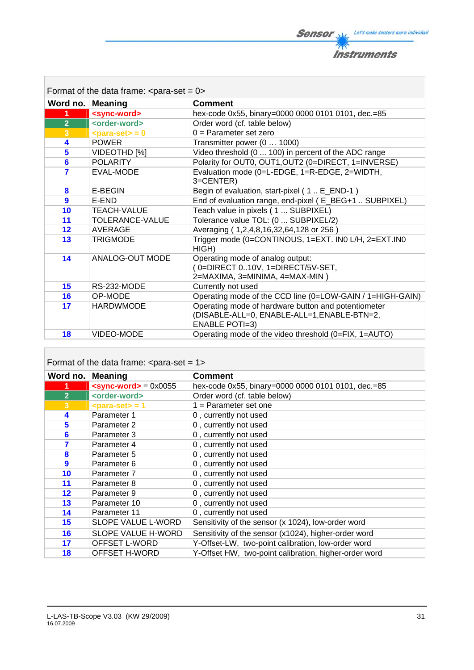

|                         | Format of the data frame: $\leq$ para-set = 0> |                                                                                                                             |
|-------------------------|------------------------------------------------|-----------------------------------------------------------------------------------------------------------------------------|
| Word no.                | <b>Meaning</b>                                 | <b>Comment</b>                                                                                                              |
| 1                       | <sync-word></sync-word>                        | hex-code 0x55, binary=0000 0000 0101 0101, dec.=85                                                                          |
| $\overline{2}$          | <order-word></order-word>                      | Order word (cf. table below)                                                                                                |
| 3                       | $\epsilon$ para-set $>$ = 0                    | $0 =$ Parameter set zero                                                                                                    |
| 4                       | <b>POWER</b>                                   | Transmitter power (0  1000)                                                                                                 |
| $\overline{\mathbf{5}}$ | VIDEOTHD [%]                                   | Video threshold (0  100) in percent of the ADC range                                                                        |
| $6\phantom{1}$          | <b>POLARITY</b>                                | Polarity for OUT0, OUT1, OUT2 (0=DIRECT, 1=INVERSE)                                                                         |
| $\overline{7}$          | EVAL-MODE                                      | Evaluation mode (0=L-EDGE, 1=R-EDGE, 2=WIDTH,<br>3=CENTER)                                                                  |
| 8                       | <b>E-BEGIN</b>                                 | Begin of evaluation, start-pixel (1. E_END-1)                                                                               |
| 9                       | E-END                                          | End of evaluation range, end-pixel (E_BEG+1  SUBPIXEL)                                                                      |
| 10                      | <b>TEACH-VALUE</b>                             | Teach value in pixels (1 SUBPIXEL)                                                                                          |
| 11                      | <b>TOLERANCE-VALUE</b>                         | Tolerance value TOL: (0  SUBPIXEL/2)                                                                                        |
| 12                      | AVERAGE                                        | Averaging (1,2,4,8,16,32,64,128 or 256)                                                                                     |
| 13                      | <b>TRIGMODE</b>                                | Trigger mode (0=CONTINOUS, 1=EXT. IN0 L/H, 2=EXT.IN0<br>HIGH)                                                               |
| 14                      | ANALOG-OUT MODE                                | Operating mode of analog output:<br>(0=DIRECT 010V, 1=DIRECT/5V-SET,<br>2=MAXIMA, 3=MINIMA, 4=MAX-MIN)                      |
| 15                      | RS-232-MODE                                    | Currently not used                                                                                                          |
| 16                      | OP-MODE                                        | Operating mode of the CCD line (0=LOW-GAIN / 1=HIGH-GAIN)                                                                   |
| 17                      | <b>HARDWMODE</b>                               | Operating mode of hardware button and potentiometer<br>(DISABLE-ALL=0, ENABLE-ALL=1, ENABLE-BTN=2,<br><b>ENABLE POTI=3)</b> |
| 18                      | <b>VIDEO-MODE</b>                              | Operating mode of the video threshold (0=FIX, 1=AUTO)                                                                       |

### Format of the data frame:  $\epsilon$  = 1>

| Word no.       | <b>Meaning</b>            | <b>Comment</b>                                        |
|----------------|---------------------------|-------------------------------------------------------|
| 1              | $\le$ sync-word> = 0x0055 | hex-code 0x55, binary=0000 0000 0101 0101, dec.=85    |
| 2 <sup>1</sup> | <order-word></order-word> | Order word (cf. table below)                          |
| 3 <sup>2</sup> | $<$ para-set $>$ = 1      | $1 =$ Parameter set one                               |
| 4              | Parameter 1               | 0, currently not used                                 |
| $5\phantom{1}$ | Parameter 2               | 0, currently not used                                 |
| 6              | Parameter 3               | 0, currently not used                                 |
| 7              | Parameter 4               | 0, currently not used                                 |
| 8              | Parameter 5               | 0, currently not used                                 |
| 9              | Parameter 6               | 0, currently not used                                 |
| 10             | Parameter 7               | 0, currently not used                                 |
| 11             | Parameter 8               | 0, currently not used                                 |
| 12             | Parameter 9               | 0, currently not used                                 |
| 13             | Parameter 10              | 0, currently not used                                 |
| 14             | Parameter 11              | 0, currently not used                                 |
| 15             | <b>SLOPE VALUE L-WORD</b> | Sensitivity of the sensor (x 1024), low-order word    |
| 16             | <b>SLOPE VALUE H-WORD</b> | Sensitivity of the sensor (x1024), higher-order word  |
| 17             | <b>OFFSET L-WORD</b>      | Y-Offset-LW, two-point calibration, low-order word    |
| 18             | OFFSET H-WORD             | Y-Offset HW, two-point calibration, higher-order word |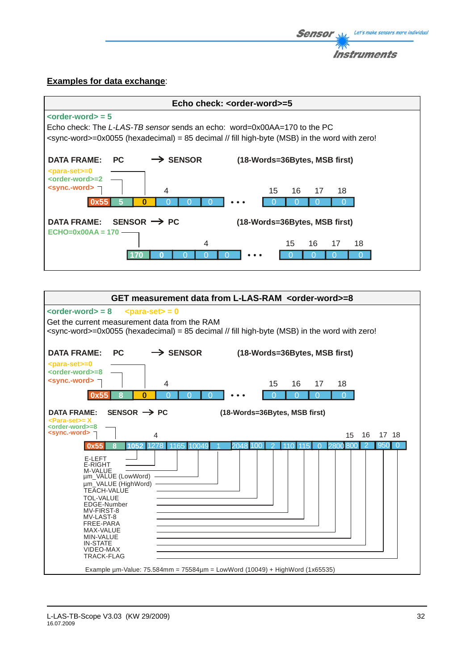

### **Examples for data exchange**:



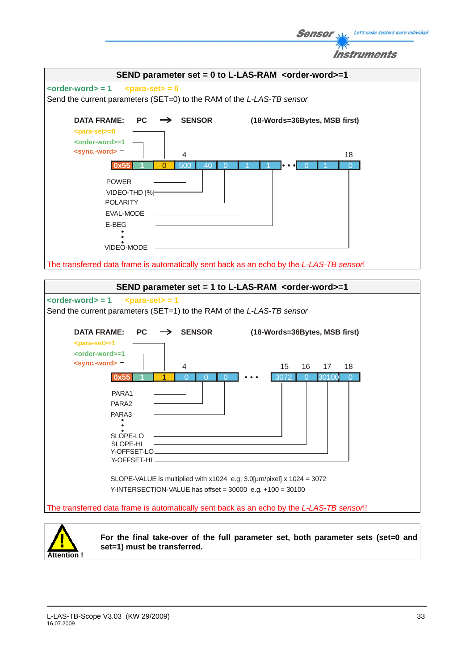



**For the final take-over of the full parameter set, both parameter sets (set=0 and set=1) must be transferred.**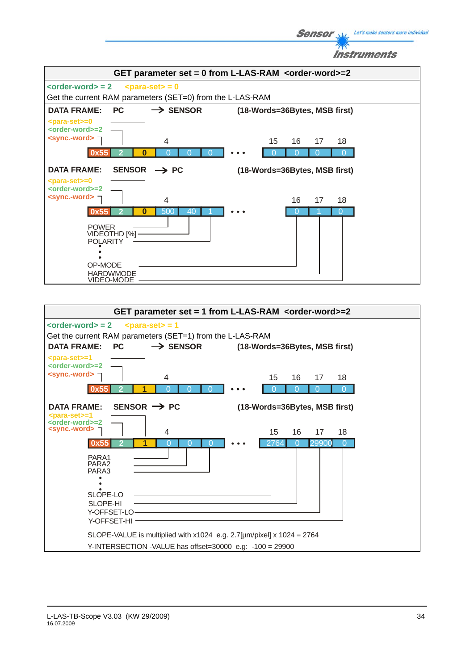